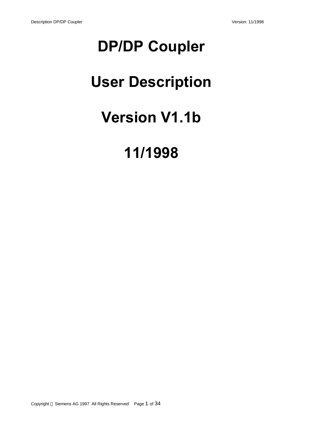# **DP/DP Coupler**

# **User Description**

# **Version V1.1b**

# **11/1998**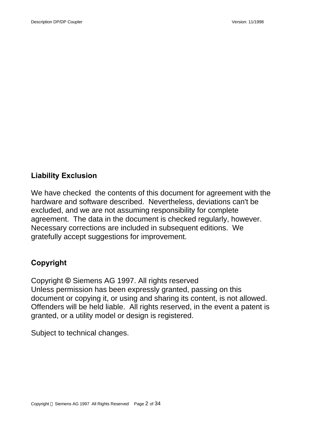# **Liability Exclusion**

We have checked the contents of this document for agreement with the hardware and software described. Nevertheless, deviations can't be excluded, and we are not assuming responsibility for complete agreement. The data in the document is checked regularly, however. Necessary corrections are included in subsequent editions. We gratefully accept suggestions for improvement.

# **Copyright**

Copyright **©** Siemens AG 1997. All rights reserved Unless permission has been expressly granted, passing on this document or copying it, or using and sharing its content, is not allowed. Offenders will be held liable. All rights reserved, in the event a patent is granted, or a utility model or design is registered.

Subject to technical changes.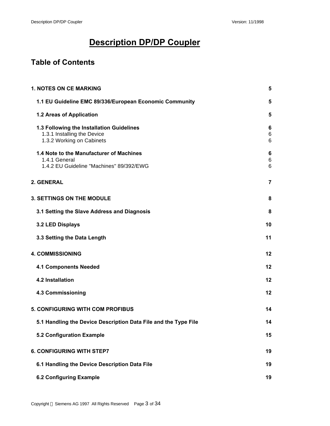# **Description DP/DP Coupler**

# **Table of Contents**

| <b>1. NOTES ON CE MARKING</b>                                                                         | 5               |
|-------------------------------------------------------------------------------------------------------|-----------------|
| 1.1 EU Guideline EMC 89/336/European Economic Community                                               | 5               |
| 1.2 Areas of Application                                                                              | 5               |
| 1.3 Following the Installation Guidelines<br>1.3.1 Installing the Device<br>1.3.2 Working on Cabinets | 6<br>6<br>6     |
| 1.4 Note to the Manufacturer of Machines<br>1.4.1 General<br>1.4.2 EU Guideline "Machines" 89/392/EWG | 6<br>$\,6$<br>6 |
| 2. GENERAL                                                                                            | 7               |
| <b>3. SETTINGS ON THE MODULE</b>                                                                      | 8               |
| 3.1 Setting the Slave Address and Diagnosis                                                           | 8               |
| 3.2 LED Displays                                                                                      | 10              |
| 3.3 Setting the Data Length                                                                           | 11              |
| <b>4. COMMISSIONING</b>                                                                               | 12              |
| <b>4.1 Components Needed</b>                                                                          | 12              |
| <b>4.2 Installation</b>                                                                               | 12              |
| <b>4.3 Commissioning</b>                                                                              | 12              |
| <b>5. CONFIGURING WITH COM PROFIBUS</b>                                                               | 14              |
| 5.1 Handling the Device Description Data File and the Type File                                       | 14              |
| 5.2 Configuration Example                                                                             | 15              |
| <b>6. CONFIGURING WITH STEP7</b>                                                                      | 19              |
| 6.1 Handling the Device Description Data File                                                         | 19              |
| <b>6.2 Configuring Example</b>                                                                        | 19              |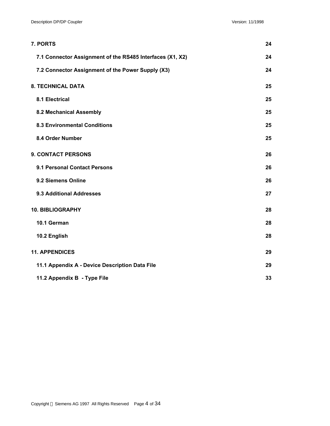| 7. PORTS                                                  | 24 |
|-----------------------------------------------------------|----|
| 7.1 Connector Assignment of the RS485 Interfaces (X1, X2) | 24 |
| 7.2 Connector Assignment of the Power Supply (X3)         | 24 |
| <b>8. TECHNICAL DATA</b>                                  | 25 |
| 8.1 Electrical                                            | 25 |
| 8.2 Mechanical Assembly                                   | 25 |
| <b>8.3 Environmental Conditions</b>                       | 25 |
| 8.4 Order Number                                          | 25 |
| <b>9. CONTACT PERSONS</b>                                 | 26 |
| 9.1 Personal Contact Persons                              | 26 |
| 9.2 Siemens Online                                        | 26 |
| 9.3 Additional Addresses                                  | 27 |
| 10. BIBLIOGRAPHY                                          | 28 |
| 10.1 German                                               | 28 |
| 10.2 English                                              | 28 |
| <b>11. APPENDICES</b>                                     | 29 |
| 11.1 Appendix A - Device Description Data File            | 29 |
| 11.2 Appendix B - Type File                               | 33 |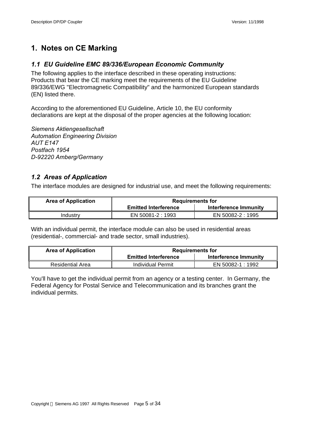# **1. Notes on CE Marking**

## *1.1 EU Guideline EMC 89/336/European Economic Community*

The following applies to the interface described in these operating instructions: Products that bear the CE marking meet the requirements of the EU Guideline 89/336/EWG "Electromagnetic Compatibility" and the harmonized European standards (EN) listed there.

According to the aforementioned EU Guideline, Article 10, the EU conformity declarations are kept at the disposal of the proper agencies at the following location:

*Siemens Aktiengesellschaft Automation Engineering Division AUT E147 Postfach 1954 D-92220 Amberg/Germany*

## *1.2 Areas of Application*

The interface modules are designed for industrial use, and meet the following requirements:

| <b>Area of Application</b> | <b>Requirements for</b>     |                       |  |  |  |
|----------------------------|-----------------------------|-----------------------|--|--|--|
|                            | <b>Emitted Interference</b> | Interference Immunity |  |  |  |
| Industrv                   | EN 50081-2 : 1993           | EN 50082-2 : 1995     |  |  |  |

With an individual permit, the interface module can also be used in residential areas (residential-, commercial- and trade sector, small industries).

| <b>Area of Application</b> | <b>Requirements for</b>     |                       |  |  |  |
|----------------------------|-----------------------------|-----------------------|--|--|--|
|                            | <b>Emitted Interference</b> | Interference Immunity |  |  |  |
| <b>Residential Area</b>    | Individual Permit           | EN 50082-1 : 1992     |  |  |  |

You'll have to get the individual permit from an agency or a testing center. In Germany, the Federal Agency for Postal Service and Telecommunication and its branches grant the individual permits.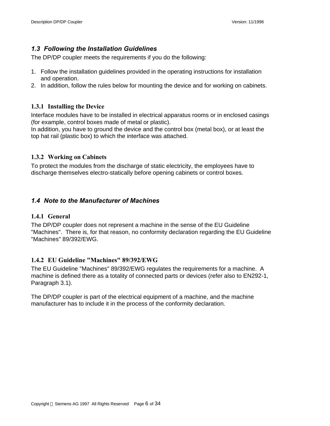## *1.3 Following the Installation Guidelines*

The DP/DP coupler meets the requirements if you do the following:

- 1. Follow the installation guidelines provided in the operating instructions for installation and operation.
- 2. In addition, follow the rules below for mounting the device and for working on cabinets.

## **1.3.1 Installing the Device**

Interface modules have to be installed in electrical apparatus rooms or in enclosed casings (for example, control boxes made of metal or plastic).

In addition, you have to ground the device and the control box (metal box), or at least the top hat rail (plastic box) to which the interface was attached.

## **1.3.2 Working on Cabinets**

To protect the modules from the discharge of static electricity, the employees have to discharge themselves electro-statically before opening cabinets or control boxes.

## *1.4 Note to the Manufacturer of Machines*

## **1.4.1 General**

The DP/DP coupler does not represent a machine in the sense of the EU Guideline "Machines". There is, for that reason, no conformity declaration regarding the EU Guideline "Machines" 89/392/EWG.

## **1.4.2 EU Guideline "Machines" 89/392/EWG**

The EU Guideline "Machines" 89/392/EWG regulates the requirements for a machine. A machine is defined there as a totality of connected parts or devices (refer also to EN292-1, Paragraph 3.1).

The DP/DP coupler is part of the electrical equipment of a machine, and the machine manufacturer has to include it in the process of the conformity declaration.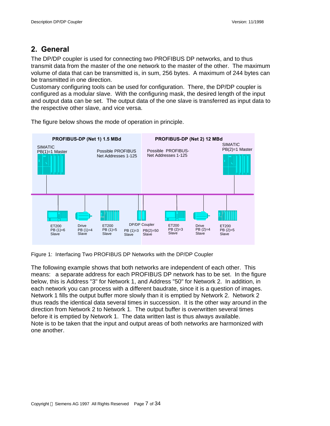# **2. General**

The DP/DP coupler is used for connecting two PROFIBUS DP networks, and to thus transmit data from the master of the one network to the master of the other. The maximum volume of data that can be transmitted is, in sum, 256 bytes. A maximum of 244 bytes can be transmitted in one direction.

Customary configuring tools can be used for configuration. There, the DP/DP coupler is configured as a modular slave. With the configuring mask, the desired length of the input and output data can be set. The output data of the one slave is transferred as input data to the respective other slave, and vice versa.



The figure below shows the mode of operation in principle.

Figure 1: Interfacing Two PROFIBUS DP Networks with the DP/DP Coupler

The following example shows that both networks are independent of each other. This means: a separate address for each PROFIBUS DP network has to be set. In the figure below, this is Address "3" for Network 1, and Address "50" for Network 2. In addition, in each network you can process with a different baudrate, since it is a question of images. Network 1 fills the output buffer more slowly than it is emptied by Network 2. Network 2 thus reads the identical data several times in succession. It is the other way around in the direction from Network 2 to Network 1. The output buffer is overwritten several times before it is emptied by Network 1. The data written last is thus always available. Note is to be taken that the input and output areas of both networks are harmonized with one another.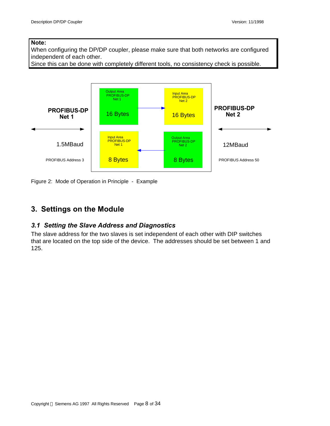## **Note:**

When configuring the DP/DP coupler, please make sure that both networks are configured independent of each other.

Since this can be done with completely different tools, no consistency check is possible.



Figure 2: Mode of Operation in Principle - Example

# **3. Settings on the Module**

## *3.1 Setting the Slave Address and Diagnostics*

The slave address for the two slaves is set independent of each other with DIP switches that are located on the top side of the device. The addresses should be set between 1 and 125.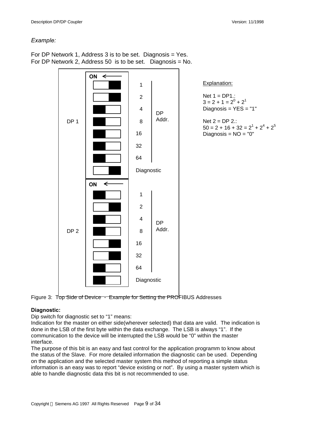#### *Example:*

For DP Network 1, Address 3 is to be set. Diagnosis = Yes. For DP Network 2, Address 50 is to be set. Diagnosis = No.



Figure 3: Top Side of Device - Example for Setting the PROFIBUS Addresses

## **Diagnostic:**

Dip switch for diagnostic set to "1" means:

Indication for the master on either side(wherever selected) that data are valid. The indication is done in the LSB of the first byte within the data exchange. The LSB is always "1". If the communication to the device will be interrupted the LSB would be "0" within the master interface.

The purpose of this bit is an easy and fast control for the application programm to know about the status of the Slave. For more detailed information the diagnostic can be used. Depending on the application and the selected master system this method of reporting a simple status information is an easy was to report "device existing or not". By using a master system which is able to handle diagnostic data this bit is not recommended to use.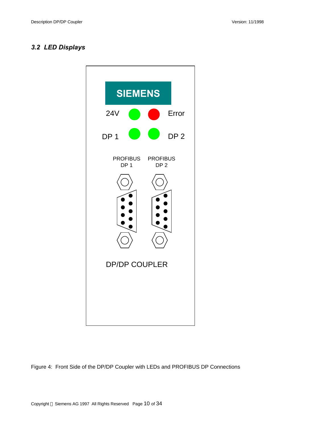## *3.2 LED Displays*



Figure 4: Front Side of the DP/DP Coupler with LEDs and PROFIBUS DP Connections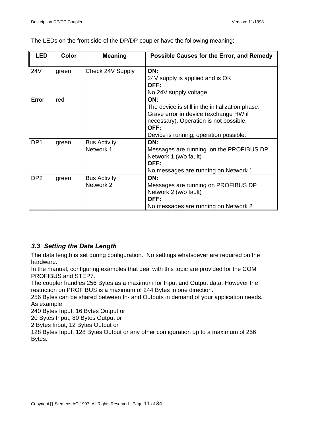The LEDs on the front side of the DP/DP coupler have the following meaning:

| LED             | <b>Color</b> | <b>Meaning</b>      | Possible Causes for the Error, and Remedy        |
|-----------------|--------------|---------------------|--------------------------------------------------|
| 24V             | green        | Check 24V Supply    | ON:                                              |
|                 |              |                     | 24V supply is applied and is OK                  |
|                 |              |                     | OFF:                                             |
|                 |              |                     | No 24V supply voltage                            |
| Error           | red          |                     | ON:                                              |
|                 |              |                     | The device is still in the initialization phase. |
|                 |              |                     | Grave error in device (exchange HW if            |
|                 |              |                     | necessary). Operation is not possible.           |
|                 |              |                     | OFF:                                             |
|                 |              |                     | Device is running; operation possible.           |
| DP <sub>1</sub> | green        | <b>Bus Activity</b> | ON:                                              |
|                 |              | Network 1           | Messages are running on the PROFIBUS DP          |
|                 |              |                     | Network 1 (w/o fault)                            |
|                 |              |                     | OFF:                                             |
|                 |              |                     | No messages are running on Network 1             |
| DP <sub>2</sub> | green        | <b>Bus Activity</b> | ON:                                              |
|                 |              | Network 2           | Messages are running on PROFIBUS DP              |
|                 |              |                     | Network 2 (w/o fault)                            |
|                 |              |                     | OFF:                                             |
|                 |              |                     | No messages are running on Network 2             |

## *3.3 Setting the Data Length*

The data length is set during configuration. No settings whatsoever are required on the hardware.

In the manual, configuring examples that deal with this topic are provided for the COM PROFIBUS and STEP7.

The coupler handles 256 Bytes as a maximum for Input and Output data. However the restriction on PROFIBUS is a maximum of 244 Bytes in one direction.

256 Bytes can be shared between In- and Outputs in demand of your application needs. As example:

240 Bytes Input, 16 Bytes Output or

20 Bytes Input, 80 Bytes Output or

2 Bytes Input, 12 Bytes Output or

128 Bytes Input, 128 Bytes Output or any other configuration up to a maximum of 256 Bytes.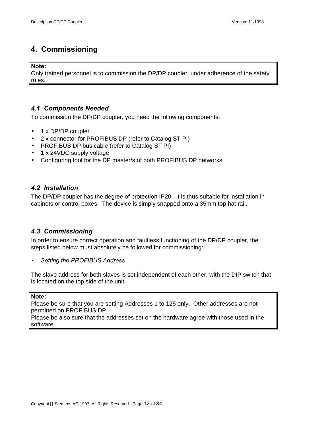# **4. Commissioning**

### **Note:**

Only trained personnel is to commission the DP/DP coupler, under adherence of the safety rules.

## *4.1 Components Needed*

To commission the DP/DP coupler, you need the following components:

- 1 x DP/DP coupler
- 2 x connector for PROFIBUS DP (refer to Catalog ST PI)
- PROFIBUS DP bus cable (refer to Catalog ST PI)
- 1 x 24VDC supply voltage
- Configuring tool for the DP master/s of both PROFIBUS DP networks

## *4.2 Installation*

The DP/DP coupler has the degree of protection IP20. It is thus suitable for installation in cabinets or control boxes. The device is simply snapped onto a 35mm top hat rail.

## *4.3 Commissioning*

In order to ensure correct operation and faultless functioning of the DP/DP coupler, the steps listed below must absolutely be followed for commissioning:

• *Setting the PROFIBUS Address*

The slave address for both slaves is set independent of each other, with the DIP switch that is located on the top side of the unit.

## **Note:**

Please be sure that you are setting Addresses 1 to 125 only. Other addresses are not permitted on PROFIBUS DP.

Please be also sure that the addresses set on the hardware agree with those used in the software.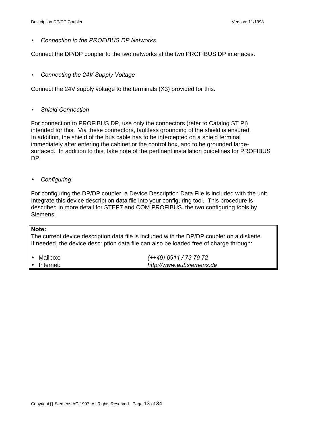• *Connection to the PROFIBUS DP Networks*

Connect the DP/DP coupler to the two networks at the two PROFIBUS DP interfaces.

• *Connecting the 24V Supply Voltage*

Connect the 24V supply voltage to the terminals (X3) provided for this.

• *Shield Connection*

For connection to PROFIBUS DP, use only the connectors (refer to Catalog ST PI) intended for this. Via these connectors, faultless grounding of the shield is ensured. In addition, the shield of the bus cable has to be intercepted on a shield terminal immediately after entering the cabinet or the control box, and to be grounded largesurfaced. In addition to this, take note of the pertinent installation guidelines for PROFIBUS DP.

• *Configuring*

For configuring the DP/DP coupler, a Device Description Data File is included with the unit. Integrate this device description data file into your configuring tool. This procedure is described in more detail for STEP7 and COM PROFIBUS, the two configuring tools by Siemens.

## **Note:**

The current device description data file is included with the DP/DP coupler on a diskette. If needed, the device description data file can also be loaded free of charge through:

| $\bullet$ Mailbox:  | (++49) 0911 / 73 79 72    |
|---------------------|---------------------------|
| $\bullet$ Internet: | http://www.aut.siemens.de |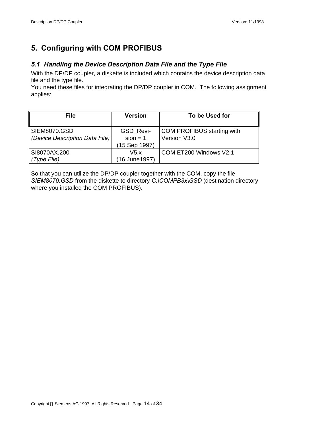# **5. Configuring with COM PROFIBUS**

## *5.1 Handling the Device Description Data File and the Type File*

With the DP/DP coupler, a diskette is included which contains the device description data file and the type file.

You need these files for integrating the DP/DP coupler in COM. The following assignment applies:

| <b>File</b>                    | <b>Version</b> | To be Used for             |  |  |
|--------------------------------|----------------|----------------------------|--|--|
|                                |                |                            |  |  |
| <b>SIEM8070.GSD</b>            | GSD_Revi-      | COM PROFIBUS starting with |  |  |
| (Device Description Data File) | $sion = 1$     | Version V3.0               |  |  |
|                                | (15 Sep 1997)  |                            |  |  |
| SI8070AX.200                   | V5.x           | COM ET200 Windows V2.1     |  |  |
| (Type File)                    | (16 June1997)  |                            |  |  |

So that you can utilize the DP/DP coupler together with the COM, copy the file *SIEM8070.GSD* from the diskette to directory *C:\COMPB3x\GSD* (destination directory where you installed the COM PROFIBUS).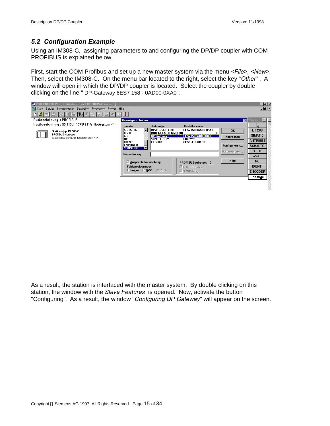## *5.2 Configuration Example*

Using an IM308-C, assigning parameters to and configuring the DP/DP coupler with COM PROFIBUS is explained below.

First, start the COM Profibus and set up a new master system via the menu *<File>, <New>.* Then, select the IM308-C. On the menu bar located to the right, select the key *"Other"* . A window will open in which the DP/DP coupler is located. Select the coupler by double clicking on the line " DP-Gateway 6ES7 158 - 0AD00-0XA0".



As a result, the station is interfaced with the master system. By double clicking on this station, the window with the *Slave Features* is opened. Now, activate the button "Configuring". As a result, the window "*Configuring DP Gateway*" will appear on the screen.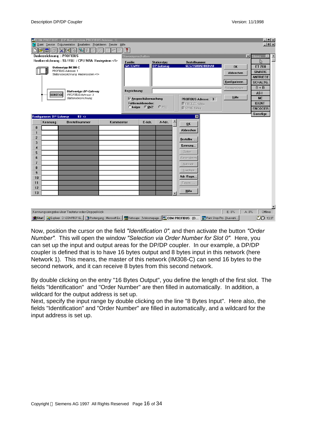| ê<br>التا<br><b>Busbezeichnung: PROFIBUS</b>                                                                       | $ F - \sqrt{2}$<br>$X$ $\rightarrow$<br>Hostbezeichnung: S5-115U / CPU 941A Hostsystem <1> | sO        | Ţ<br>Slaveeigenschaften    |                                                                     |                            |                          |                                                                                                                                | $\vert x \vert$                                          | <b>Slaves</b><br>い                                  |
|--------------------------------------------------------------------------------------------------------------------|--------------------------------------------------------------------------------------------|-----------|----------------------------|---------------------------------------------------------------------|----------------------------|--------------------------|--------------------------------------------------------------------------------------------------------------------------------|----------------------------------------------------------|-----------------------------------------------------|
|                                                                                                                    | Stationstyp: IM 308-C<br>PROFIBUS-Adresse: 1<br>Stationsbezeichnung: Mastersystem <1>      |           | Familie:<br><b>GATEWAY</b> |                                                                     | Stationstyp:<br>DP-Gateway |                          | <b>Bestellnummer:</b><br>6ES71580AD000XA0                                                                                      | <b>OK</b><br>Abbrechen                                   | <b>ET 200</b><br><b>SIMATIC</b><br><b>ANTRIEBE</b>  |
|                                                                                                                    |                                                                                            |           |                            |                                                                     |                            |                          |                                                                                                                                | Konfigurieren                                            | SCHALTG.                                            |
|                                                                                                                    | <b>Stationstyp: DP-Gateway</b>                                                             |           | Bezeichnung:               |                                                                     |                            |                          |                                                                                                                                | Parametrieren.                                           | $B + B$                                             |
| <b>SONSTIGE</b>                                                                                                    | PROFIBUS-Adresse: 3<br>Stationsbezeichnung:                                                |           |                            | <b>▽ Ansprechüberwachung</b><br>Fehlermeldemodus:<br>C keiner G QVZ | $C$ PEU                    |                          | PROFIBUS-Adresse: 3<br><b>▽ FREEZE-fähig</b><br><b>Ⅳ</b> SYNC-fähig                                                            | Hilfe                                                    | AS-I<br><b>NC</b><br><b>IDENT</b><br><b>ENCODER</b> |
| Konfigurieren: DP-Gateway                                                                                          | #3                                                                                         |           |                            |                                                                     |                            |                          | $\mathbf{x}$                                                                                                                   |                                                          | Sonstige                                            |
| Kennung<br>$\bf{0}$<br>1<br>$\overline{2}$<br>3<br>4<br>5<br>6<br>$\overline{I}$<br>8<br>9<br>10<br>11<br>12<br>13 | <b>Bestellnummer</b>                                                                       | Kommentar |                            | E-Adr.                                                              | A-Adr.                     | $\overline{\phantom{a}}$ | <b>OK</b><br>Abbrechen<br>Bestellnr.<br>Kennung<br>Daten<br>Reservieren<br>Autoadr.<br>Löschen<br>Adr.-Raum<br>Param.<br>Hilfe |                                                          |                                                     |
|                                                                                                                    | Kennungseingabe über Tastatur oder Doppelklick                                             |           |                            |                                                                     |                            |                          |                                                                                                                                | E:0%<br>$A:0\%$<br><b>MAR</b> Paint Shop Pro - [Auswahl] | Offline<br>$\sqrt{2}$ 13.37                         |

Now, position the cursor on the field *"Identification 0"*, and then activate the button *"Order Number"*.This will open the window *"Selection via Order Number for Slot 0"*. Here, you can set up the input and output areas for the DP/DP coupler. In our example, a DP/DP coupler is defined that is to have 16 bytes output and 8 bytes input in this network (here Network 1). This means, the master of this network (IM308-C) can send 16 bytes to the second network, and it can receive 8 bytes from this second network.

By double clicking on the entry "16 Bytes Output", you define the length of the first slot. The fields "Identification" and "Order Number" are then filled in automatically. In addition, a wildcard for the output address is set up.

Next, specify the input range by double clicking on the line "8 Bytes Input". Here also, the fields "Identification" and "Order Number" are filled in automatically, and a wildcard for the input address is set up.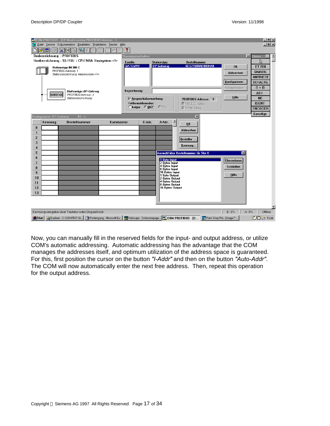|                           | A)<br>التا      | <b>AT COM PROFIBUS</b> - [DP-Mastersystem PROFIBUS-Adresse 1]<br>Be Datei Service Dokumentation Bearbeiten Projektieren Fenster Hilfe<br>$ F - \frac{1}{2}$<br>$X$ $\blacksquare$ |           | ?                  |                              |                                                |                                              |                  |                                  | $  H $ $\times$<br>$ B$ $\times$ |
|---------------------------|-----------------|-----------------------------------------------------------------------------------------------------------------------------------------------------------------------------------|-----------|--------------------|------------------------------|------------------------------------------------|----------------------------------------------|------------------|----------------------------------|----------------------------------|
|                           |                 | <b>Busbezeichnung : PROFIBUS</b>                                                                                                                                                  |           | Slaveeigenschaften |                              |                                                |                                              |                  | $\vert x \vert$<br><b>Slaves</b> |                                  |
|                           |                 | Hostbezeichnung: S5-115U / CPU 941A Hostsystem <1>                                                                                                                                |           | Familie:           |                              | Stationstyp:                                   | <b>Bestellnummer:</b>                        |                  | い                                |                                  |
|                           |                 | Stationstyp: IM 308-C                                                                                                                                                             |           | <b>GATEWAY</b>     |                              | DP-Gateway                                     | 6ES71580AD000XA0                             | <b>OK</b>        | <b>ET 200</b>                    |                                  |
|                           |                 | PROFIBUS-Adresse: 1                                                                                                                                                               |           |                    |                              |                                                |                                              | Abbrechen        | <b>SIMATIC</b>                   |                                  |
|                           |                 | Stationsbezeichnung: Mastersystem <1>                                                                                                                                             |           |                    |                              |                                                |                                              |                  | <b>ANTRIEBE</b>                  |                                  |
|                           |                 |                                                                                                                                                                                   |           |                    |                              |                                                |                                              | Konfigurieren    | SCHALTG.                         |                                  |
|                           |                 |                                                                                                                                                                                   |           |                    |                              |                                                |                                              | Parametrieren.   | $B + B$                          |                                  |
|                           |                 | <b>Stationstyp: DP-Gateway</b>                                                                                                                                                    |           | Bezeichnung:       |                              |                                                |                                              |                  | $AS-I$                           |                                  |
|                           | <b>SONSTIGE</b> | PROFIBUS-Adresse: 3<br>Stationsbezeichnung:                                                                                                                                       |           |                    | <b>▽ Ansprechüberwachung</b> |                                                |                                              | <b>Hilfe</b>     | <b>NC</b>                        |                                  |
|                           |                 |                                                                                                                                                                                   |           |                    | Fehlermeldemodus:            |                                                | PROFIBUS-Adresse: 3<br><b>Ⅳ</b> FREEZE-fähig |                  | <b>IDENT</b>                     |                                  |
|                           |                 |                                                                                                                                                                                   |           |                    | C keiner G QVZ               | CPEU                                           | <b>Ⅳ</b> SYNC-fähig                          |                  | <b>ENCODER</b>                   |                                  |
|                           |                 |                                                                                                                                                                                   |           |                    |                              |                                                |                                              |                  | Sonstige                         |                                  |
| Konfigurieren: DP-Gateway |                 | $#3$ <>                                                                                                                                                                           |           |                    |                              |                                                | $\vert x \vert$                              |                  |                                  |                                  |
|                           | Kennung         | <b>Bestellnummer</b>                                                                                                                                                              | Kommentar |                    | E-Adr.                       | A-Adr.                                         | OK                                           |                  |                                  |                                  |
| $\bf{0}$                  |                 |                                                                                                                                                                                   |           |                    |                              |                                                |                                              |                  |                                  |                                  |
| 1                         |                 |                                                                                                                                                                                   |           |                    |                              |                                                | Abbrechen                                    |                  |                                  |                                  |
| $\overline{c}$            |                 |                                                                                                                                                                                   |           |                    |                              |                                                | Bestellnr                                    |                  |                                  |                                  |
| 3                         |                 |                                                                                                                                                                                   |           |                    |                              |                                                |                                              |                  |                                  |                                  |
| 4                         |                 |                                                                                                                                                                                   |           |                    |                              |                                                | Kennung                                      |                  |                                  |                                  |
| 5                         |                 |                                                                                                                                                                                   |           |                    |                              |                                                | Auswahl über Bestellnummer für Slot 0        | $\mathbf{x}$     |                                  |                                  |
| 6                         |                 |                                                                                                                                                                                   |           |                    |                              | 1 Byte Input                                   |                                              |                  |                                  |                                  |
| 7                         |                 |                                                                                                                                                                                   |           |                    |                              | 2 Bytes Input                                  |                                              | Übernehmen       |                                  |                                  |
| 8                         |                 |                                                                                                                                                                                   |           |                    |                              | 4 Bytes Input<br><b>8 Bytes Input</b>          |                                              | <b>Schließen</b> |                                  |                                  |
| 9                         |                 |                                                                                                                                                                                   |           |                    |                              | <b>16 Bytes Input</b>                          |                                              |                  |                                  |                                  |
| 10                        |                 |                                                                                                                                                                                   |           |                    |                              | 1 Byte Output<br><b>2 Bytes Output</b>         |                                              | Hilfe            |                                  |                                  |
| 11                        |                 |                                                                                                                                                                                   |           |                    |                              | <b>4 Bytes Output</b><br><b>8 Bytes Output</b> |                                              |                  |                                  |                                  |
| 12                        |                 |                                                                                                                                                                                   |           |                    |                              | <b>16 Bytes Output</b>                         |                                              |                  |                                  |                                  |
| 13                        |                 |                                                                                                                                                                                   |           |                    |                              |                                                |                                              |                  |                                  |                                  |
|                           |                 |                                                                                                                                                                                   |           |                    |                              |                                                |                                              |                  |                                  |                                  |
|                           |                 |                                                                                                                                                                                   |           |                    |                              |                                                |                                              |                  |                                  |                                  |
|                           |                 |                                                                                                                                                                                   |           |                    |                              |                                                |                                              |                  |                                  |                                  |
|                           |                 | Kennungseingabe über Tastatur oder Doppelklick                                                                                                                                    |           |                    |                              |                                                |                                              | E:0%             | $A:0\%$                          | Offline                          |
|                           |                 |                                                                                                                                                                                   |           |                    |                              |                                                |                                              |                  | 20台 13:44                        |                                  |

Now, you can manually fill in the reserved fields for the input- and output address, or utilize COM's automatic addressing. Automatic addressing has the advantage that the COM manages the addresses itself, and optimum utilization of the address space is guaranteed. For this, first position the cursor on the button *"I-Addr"* and then on the button *"Auto-Addr"*. The COM will now automatically enter the next free address. Then, repeat this operation for the output address.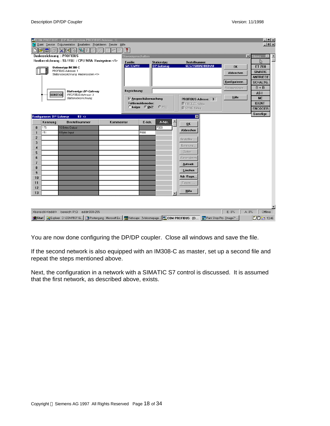| $\mathbf{E}[\mathbf{u}]$<br>$\Box$                                                                                  | ê                                    | <b>ATCOM PROFIBUS</b> - [DP-Mastersystem PROFIBUS-Adresse 1]<br><b>Ba Datei Service Dokumentation Bearbeiten Projektieren Fenster Hilfe</b><br>$ F - \mathscr{F} $<br>$X$ $\mathbb{H}$ $\mathbb{R}$<br><b>Busbezeichnung : PROFIBUS</b><br>Hostbezeichnung: S5-115U / CPU 941A Hostsystem <1><br>Stationstyp: IM 308-C<br>PROFIBUS-Adresse: 1<br>Stationsbezeichnung: Mastersystem <1> | 껆<br>s07  | ?<br>Slaveeigenschaften<br><b>Eamilie:</b><br><b>GATEWAY</b> |                                                                | Stationstyp:<br>DP-Gateway | <b>Bestellnummer:</b><br>6ES71580AD000XA0                                                                                                                                     | <b>OK</b><br>Abbrechen<br>Konfigurieren | $-10 \times$<br>$-10 \times$<br>$\vert x \vert$<br>Slaves<br>い<br><b>ET 200</b><br><b>SIMATIC</b><br><b>ANTRIEBE</b><br>SCHALTG.<br>$B + B$ |
|---------------------------------------------------------------------------------------------------------------------|--------------------------------------|----------------------------------------------------------------------------------------------------------------------------------------------------------------------------------------------------------------------------------------------------------------------------------------------------------------------------------------------------------------------------------------|-----------|--------------------------------------------------------------|----------------------------------------------------------------|----------------------------|-------------------------------------------------------------------------------------------------------------------------------------------------------------------------------|-----------------------------------------|---------------------------------------------------------------------------------------------------------------------------------------------|
|                                                                                                                     | <b>SONSTIGE</b>                      | <b>Stationstyp: DP-Gateway</b><br>PROFIBUS-Adresse: 3<br>Stationsbezeichnung:                                                                                                                                                                                                                                                                                                          |           | Bezeichnung:                                                 | Ansprechüberwachung<br>Fehlermeldemodus:<br>$C$ keiner $C$ QVZ | CPEU                       | PROFIBUS-Adresse: 3<br>$\nabla$ FREEZE-fähig<br><b>Ⅳ</b> SYNC-fähig                                                                                                           | Parametrieren.<br>Hilfe                 | AS-I<br>NC.<br><b>IDENT</b><br><b>ENCODER</b>                                                                                               |
| 175<br>$\bf{0}$<br>151<br>1<br>$\mathbf{2}$<br>3<br>4<br>5<br>6<br>7<br>8<br>$\overline{9}$<br>10<br>11<br>12<br>13 | Konfigurieren: DP-Gateway<br>Kennung | #3 <<br><b>Bestellnummer</b><br>16 Bytes Output<br>8 Bytes Input                                                                                                                                                                                                                                                                                                                       | Kommentar |                                                              | E-Adr.<br>P000                                                 | A-Adr.<br>P000             | $\mathbf{x}$<br>0 <sup>K</sup><br>Abbrechen<br>Bestellnr<br>Kennung<br>Daten<br>Reservieren<br>Autoadr.<br>Löschen<br>Adr.-Raum<br>Param<br>Hilfe<br>$\overline{\phantom{a}}$ |                                         | Sonstige                                                                                                                                    |
|                                                                                                                     | <bereich><addr></addr></bereich>     | bereich: P,Q<br>addr:000-255<br>19 Start   QJ Explorer - D:\\COMPB31\G   @Posteingang - Microsoft Ex   @Netscape - [\/velcomepage   75 COM PROFIBUS - [D                                                                                                                                                                                                                               |           |                                                              |                                                                |                            |                                                                                                                                                                               | E:0%<br>Paint Shop Pro - [Image7"       | A: 0%<br>Offline<br>$2001 - 1346$                                                                                                           |

You are now done configuring the DP/DP coupler. Close all windows and save the file.

If the second network is also equipped with an IM308-C as master, set up a second file and repeat the steps mentioned above.

Next, the configuration in a network with a SIMATIC S7 control is discussed. It is assumed that the first network, as described above, exists.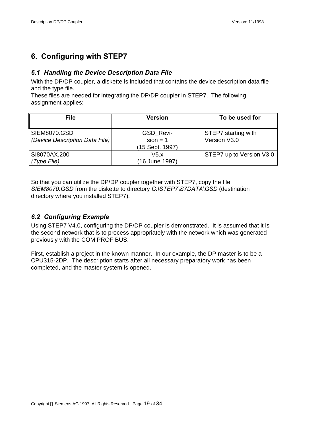# **6. Configuring with STEP7**

## *6.1 Handling the Device Description Data File*

With the DP/DP coupler, a diskette is included that contains the device description data file and the type file.

These files are needed for integrating the DP/DP coupler in STEP7. The following assignment applies:

| <b>File</b>                                           | <b>Version</b>                             | To be used for                      |
|-------------------------------------------------------|--------------------------------------------|-------------------------------------|
| <b>SIEM8070.GSD</b><br>(Device Description Data File) | GSD_Revi-<br>$sion = 1$<br>(15 Sept. 1997) | STEP7 starting with<br>Version V3.0 |
| SI8070AX.200<br>(Type File)                           | V5.x<br>(16 June 1997)                     | STEP7 up to Version V3.0            |

So that you can utilize the DP/DP coupler together with STEP7, copy the file *SIEM8070.GSD* from the diskette to directory *C:\STEP7\S7DATA\GSD* (destination directory where you installed STEP7).

## *6.2 Configuring Example*

Using STEP7 V4.0, configuring the DP/DP coupler is demonstrated. It is assumed that it is the second network that is to process appropriately with the network which was generated previously with the COM PROFIBUS.

First, establish a project in the known manner. In our example, the DP master is to be a CPU315-2DP. The description starts after all necessary preparatory work has been completed, and the master system is opened.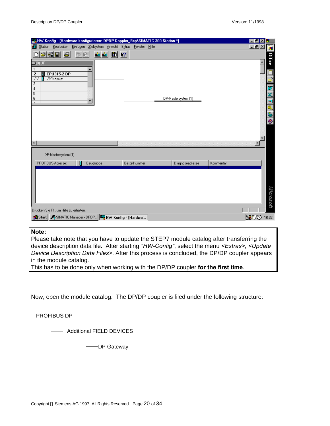| WHW Konfig - [Hardware konfigurieren: DPDP-Koppler_Bsp\SIMATIC 300-Station *]                                                              |           |               |                     |           | $ F$ $x$            |
|--------------------------------------------------------------------------------------------------------------------------------------------|-----------|---------------|---------------------|-----------|---------------------|
| Station <u>B</u> earbeiten Einfügen Zielsystem Ansicht Extras Fenster Hilfe                                                                |           |               |                     |           | $-10 \times$<br>ø   |
| 미터웨티 즉<br>a d<br>$=$ [0] UR                                                                                                                | SIS ED 12 |               |                     |           | <b>Office</b>       |
| $\mathbf{1}$<br><b>CPU315-2 DP</b><br>$\overline{\mathbf{c}}$<br>21<br><b>DP-Master</b><br>3<br>4<br>$\overline{5}$<br>6<br>$\overline{ }$ |           |               | DP-Mastersystem (1) |           |                     |
|                                                                                                                                            |           |               |                     |           | 000000              |
| $\blacksquare$                                                                                                                             |           |               |                     |           |                     |
| DP-Mastersystem [1]                                                                                                                        |           |               |                     |           |                     |
| PROFIBUS-Adresse:                                                                                                                          | Baugruppe | Bestellnummer | Diagnoseadresse     | Kommentar |                     |
| Drücken Sie F1, um Hilfe zu erhalten.                                                                                                      |           |               |                     |           | Microsoft           |
| Start J.SIMATIC Manager - DPDP BU HW Konfig - [Hardwa                                                                                      |           |               |                     |           | <b>YUQ</b><br>16:32 |

## **Note:**

Please take note that you have to update the STEP7 module catalog after transferring the device description data file. After starting *"HW-Config"*, select the menu *<Extras>, <Update Device Description Data Files>*. After this process is concluded, the DP/DP coupler appears in the module catalog.

This has to be done only when working with the DP/DP coupler **for the first time**.

Now, open the module catalog. The DP/DP coupler is filed under the following structure:

PROFIBUS DP - Additional FIELD DEVICES DP Gateway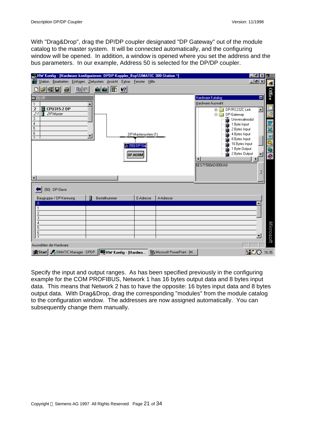With "Drag&Drop", drag the DP/DP coupler designated "DP Gateway" out of the module catalog to the master system. It will be connected automatically, and the configuring window will be opened. In addition, a window is opened where you set the address and the bus parameters. In our example, Address 50 is selected for the DP/DP coupler.



Specify the input and output ranges. As has been specified previously in the configuring example for the COM PROFIBUS, Network 1 has 16 bytes output data and 8 bytes input data. This means that Network 2 has to have the opposite: 16 bytes input data and 8 bytes output data. With Drag&Drop, drag the corresponding "modules" from the module catalog to the configuration window. The addresses are now assigned automatically. You can subsequently change them manually.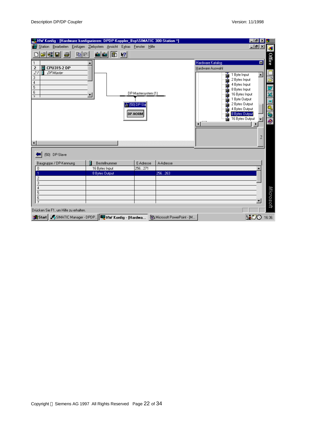| 일방HW Konfig - [Hardware konfigurieren: DPDP-Koppler_Bsp\SIMATIC 300-Station *]       |                                                                     |                     |           | $ F$ $\times$                    |                         |
|--------------------------------------------------------------------------------------|---------------------------------------------------------------------|---------------------|-----------|----------------------------------|-------------------------|
| ₩                                                                                    | Station Bearbeiten Einfügen Zielsystem Ansicht Extras Fenster Hilfe |                     |           | $  B $ $\times$                  | Ŧ                       |
| 2680<br>a d<br>8                                                                     | sin sin<br>$\mathbb{E}$ $\mathbb{R}$                                |                     |           |                                  |                         |
|                                                                                      |                                                                     |                     |           | Hardware Katalog<br>図            | Office                  |
| <b>CPU315-2 DP</b><br>$\overline{2}$                                                 |                                                                     |                     |           | Hardware Auswahl                 |                         |
| 21<br><b>DP-Master</b>                                                               |                                                                     |                     |           | $\blacktriangle$<br>1 Byte Input |                         |
| 3<br>4                                                                               |                                                                     |                     |           | 2 Bytes Input                    | ē                       |
| 5                                                                                    |                                                                     |                     |           | 4 Bytes Input<br>8 Bytes Input   | $\mathbf{w}$            |
| 6<br>$\overline{7}$                                                                  |                                                                     | DP-Mastersystem [1] |           | 16 Bytes Input                   |                         |
|                                                                                      |                                                                     |                     |           | 1 Byte Output                    |                         |
|                                                                                      |                                                                     | 。[50] DP-Sla        |           | 2 Bytes Output<br>4 Bytes Output | X di                    |
|                                                                                      |                                                                     | <b>DP-NORM</b>      |           | 8 Bytes Output                   |                         |
|                                                                                      |                                                                     |                     |           | 16 Bytes Output                  | $\frac{\circ}{\bullet}$ |
|                                                                                      |                                                                     |                     |           |                                  |                         |
|                                                                                      |                                                                     |                     |           |                                  |                         |
|                                                                                      |                                                                     |                     |           | 2                                |                         |
|                                                                                      |                                                                     |                     |           |                                  |                         |
| [50] DP-Slave                                                                        |                                                                     |                     |           |                                  |                         |
| Baugruppe / DP-Kennung                                                               | Bestellnummer                                                       | E-Adresse           | A-Adresse |                                  |                         |
| $\overline{0}$                                                                       | 16 Bytes Input                                                      | 256271              |           |                                  |                         |
| 1                                                                                    | 8 Bytes Output                                                      |                     | 256263    |                                  |                         |
| $\overline{c}$<br>$\overline{3}$                                                     |                                                                     |                     |           |                                  |                         |
| $\overline{4}$                                                                       |                                                                     |                     |           |                                  |                         |
| $\overline{5}$<br>$\overline{6}$                                                     |                                                                     |                     |           |                                  |                         |
| $\overline{7}$                                                                       |                                                                     |                     |           |                                  | Microsoft               |
| Drücken Sie F1, um Hilfe zu erhalten.                                                |                                                                     |                     |           |                                  |                         |
| Start Start Chanager - DPDP   THE HW Konfig - [Hardwa   St Microsoft PowerPoint - [M |                                                                     |                     |           | VO N                             | 16:36                   |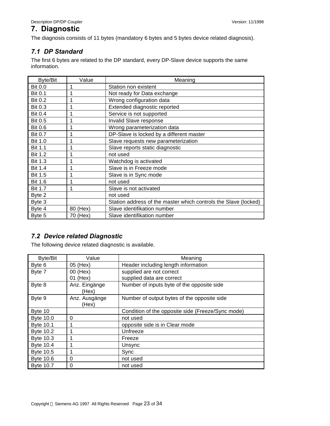## **7. Diagnostic**

The diagnosis consists of 11 bytes (mandatory 6 bytes and 5 bytes device related diagnosis).

## *7.1 DP Standard*

The first 6 bytes are related to the DP standard, every DP-Slave device supports the same information.

| Byte/Bit       | Value    | Meaning                                                         |
|----------------|----------|-----------------------------------------------------------------|
| <b>Bit 0.0</b> | 1        | Station non existent                                            |
| <b>Bit 0.1</b> |          | Not ready for Data exchange                                     |
| <b>Bit 0.2</b> |          | Wrong configuration data                                        |
| <b>Bit 0.3</b> |          | Extended diagnostic reported                                    |
| <b>Bit 0.4</b> |          | Service is not supported                                        |
| <b>Bit 0.5</b> |          | Invalid Slave response                                          |
| <b>Bit 0.6</b> |          | Wrong parameterization data                                     |
| <b>Bit 0.7</b> | 1        | DP-Slave is locked by a different master                        |
| <b>Bit 1.0</b> | 1        | Slave requests new parameterization                             |
| <b>Bit 1.1</b> |          | Slave reports static diagnostic                                 |
| <b>Bit 1.2</b> |          | not used                                                        |
| <b>Bit 1.3</b> |          | Watchdog is activated                                           |
| <b>Bit 1.4</b> |          | Slave is in Freeze mode                                         |
| <b>Bit 1.5</b> |          | Slave is in Sync mode                                           |
| <b>Bit 1.6</b> |          | not used                                                        |
| <b>Bit 1.7</b> | 1        | Slave is not activated                                          |
| Byte 2         |          | not used                                                        |
| Byte 3         |          | Station address of the master which controls the Slave (locked) |
| Byte 4         | 80 (Hex) | Slave identifikation number                                     |
| Byte 5         | 70 (Hex) | Slave identifikation number                                     |

## *7.2 Device related Diagnostic*

The following device related diagnostic is available.

| Byte/Bit         | Value                  | Meaning                                               |
|------------------|------------------------|-------------------------------------------------------|
| Byte 6           | 05 (Hex)               | Header including length information                   |
| Byte 7           | 00 (Hex)<br>01 (Hex)   | supplied are not correct<br>supplied data are correct |
| Byte 8           | Anz. Eingänge<br>(Hex) | Number of inputs byte of the opposite side            |
| Byte 9           | Anz. Ausgänge<br>(Hex) | Number of output bytes of the opposite side           |
| Byte 10          |                        | Condition of the opposite side (Freeze/Sync mode)     |
| <b>Byte 10.0</b> | 0                      | not used                                              |
| <b>Byte 10.1</b> |                        | opposite side is in Clear mode                        |
| <b>Byte 10.2</b> |                        | Unfreeze                                              |
| Byte 10.3        |                        | Freeze                                                |
| <b>Byte 10.4</b> | 1                      | Unsync                                                |
| <b>Byte 10.5</b> |                        | Sync                                                  |
| <b>Byte 10.6</b> | 0                      | not used                                              |
| <b>Byte 10.7</b> | 0                      | not used                                              |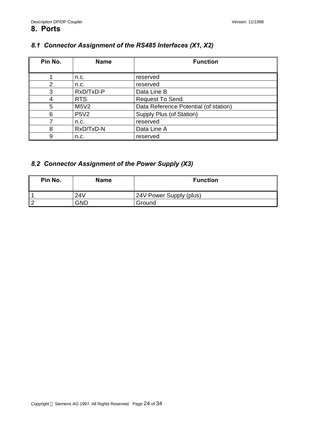## *8.1 Connector Assignment of the RS485 Interfaces (X1, X2)*

| Pin No. | <b>Name</b> | <b>Function</b>                       |
|---------|-------------|---------------------------------------|
|         | n.c.        | reserved                              |
| 2       | n.c.        | reserved                              |
| 3       | RxD/TxD-P   | Data Line B                           |
| 4       | <b>RTS</b>  | <b>Request To Send</b>                |
| 5       | M5V2        | Data Reference Potential (of station) |
| 6       | <b>P5V2</b> | Supply Plus (of Station)              |
|         | n.c.        | reserved                              |
| 8       | RxD/TxD-N   | Data Line A                           |
| 9       | n.c.        | reserved                              |

## *8.2 Connector Assignment of the Power Supply (X3)*

| Pin No. | <b>Name</b> | <b>Function</b>         |
|---------|-------------|-------------------------|
|         | 24V         | 24V Power Supply (plus) |
| 2       | GND         | Ground                  |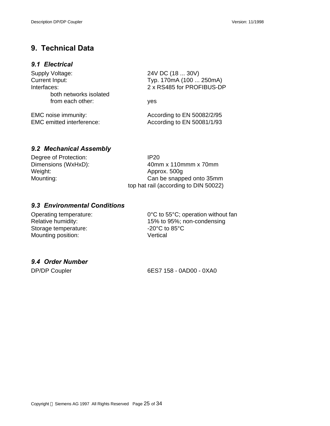## **9. Technical Data**

#### *9.1 Electrical*

| Supply Voltage:                                         | 24V DC (18  30V)                                         |  |
|---------------------------------------------------------|----------------------------------------------------------|--|
| Current Input:                                          | Typ. 170mA (100  250mA)<br>2 x RS485 for PROFIBUS-DP     |  |
| Interfaces:<br>both networks isolated                   |                                                          |  |
| from each other:                                        | yes                                                      |  |
| EMC noise immunity:<br><b>EMC</b> emitted interference: | According to EN 50082/2/95<br>According to EN 50081/1/93 |  |

## *9.2 Mechanical Assembly*

| Degree of Protection: | IP <sub>20</sub>                      |
|-----------------------|---------------------------------------|
| Dimensions (WxHxD):   | $40$ mm x 110 mmm x 70 mm             |
| Weight:               | Approx. 500g                          |
| Mounting:             | Can be snapped onto 35mm              |
|                       | top hat rail (according to DIN 50022) |

## *9.3 Environmental Conditions*

Storage temperature: Mounting position: Vertical

Operating temperature: 0°C to 55°C; operation without fan<br>Relative humidity: 15% to 95%; non-condensing 15% to 95%; non-condensing<br>-20°C to 85°C

## *9.4 Order Number*

DP/DP Coupler 6ES7 158 - 0AD00 - 0XA0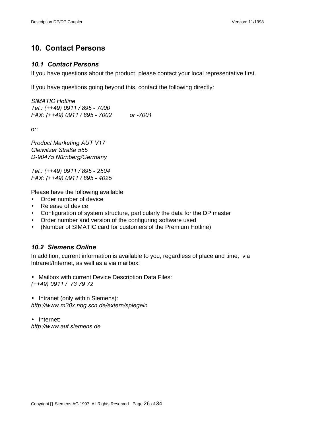# **10. Contact Persons**

#### *10.1 Contact Persons*

If you have questions about the product, please contact your local representative first.

If you have questions going beyond this, contact the following directly:

*SIMATIC Hotline Tel.: (++49) 0911 / 895 - 7000 FAX: (++49) 0911 / 895 - 7002 or -7001*

or:

*Product Marketing AUT V17 Gleiwitzer Straße 555 D-90475 Nürnberg/Germany*

*Tel.: (++49) 0911 / 895 - 2504 FAX: (++49) 0911 / 895 - 4025*

Please have the following available:

- Order number of device
- Release of device
- Configuration of system structure, particularly the data for the DP master
- Order number and version of the configuring software used
- (Number of SIMATIC card for customers of the Premium Hotline)

## *10.2 Siemens Online*

In addition, current information is available to you, regardless of place and time, via Intranet/Internet, as well as a via mailbox:

• Mailbox with current Device Description Data Files: *(++49) 0911 / 73 79 72*

• Intranet (only within Siemens): *http://www.m30x.nbg.scn.de/extern/spiegeln*

• Internet: *http://www.aut.siemens.de*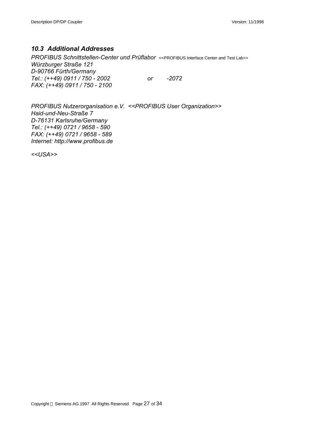## *10.3 Additional Addresses*

*PROFIBUS Schnittstellen-Center und Prüflabor* <<PROFIBUS Interface Center and Test Lab>> *Würzburger Straße 121 D-90766 Fürth/Germany Tel.: (++49) 0911 / 750 - 2002 or -2072 FAX: (++49) 0911 / 750 - 2100*

*PROFIBUS Nutzerorganisation e.V. <<PROFIBUS User Organization>> Haid-und-Neu-Straße 7 D-76131 Karlsruhe/Germany Tel.: (++49) 0721 / 9658 - 590 FAX: (++49) 0721 / 9658 - 589 Internet: http://www.profibus.de*

*<<USA>>*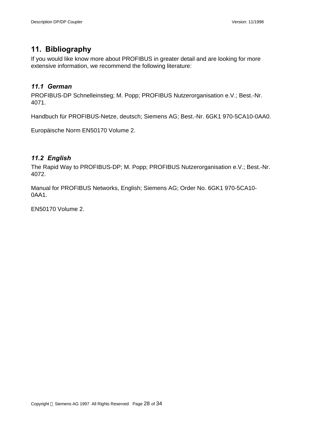# **11. Bibliography**

If you would like know more about PROFIBUS in greater detail and are looking for more extensive information, we recommend the following literature:

## *11.1 German*

PROFIBUS-DP Schnelleinstieg; M. Popp; PROFIBUS Nutzerorganisation e.V.; Best.-Nr. 4071.

Handbuch für PROFIBUS-Netze, deutsch; Siemens AG; Best.-Nr. 6GK1 970-5CA10-0AA0.

Europäische Norm EN50170 Volume 2.

## *11.2 English*

The Rapid Way to PROFIBUS-DP; M. Popp; PROFIBUS Nutzerorganisation e.V.; Best.-Nr. 4072.

Manual for PROFIBUS Networks, English; Siemens AG; Order No. 6GK1 970-5CA10- 0AA1.

EN50170 Volume 2.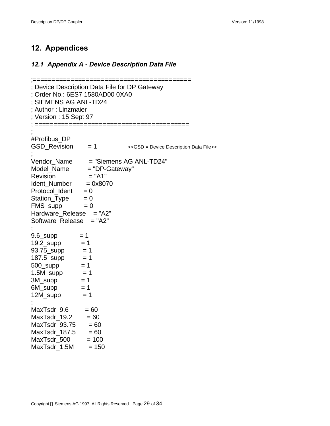## **12. Appendices**

## *12.1 Appendix A - Device Description Data File*

```
;==========================================
; Device Description Data File for DP Gateway
; Order No.: 6ES7 1580AD00 0XA0
; SIEMENS AG ANL-TD24
; Author : Linzmaier
Version : 15 Sept 97
; =========================================
;
#Profibus_DP
GSD_Revision = 1 <<GSD = Device Description Data File>>
;
Vendor_Name = "Siemens AG ANL-TD24"
Model_Name = "DP-Gateway"
\textsf{Revision} = "A1"
Ident Number = 0x8070Protocol_Ident = 0
Station_{\text{Type}} = 0FMS_supp = 0Hardware Release = "A2"
Software_Release = "A2"
;
9.6_supp = 119.2 supp = 193.75_supp = 1187.5_supp = 1
500_supp = 11.5M_supp = 13M_supp = 1
6M supp = 112M supp = 1;
MaxTsdr_9.6 = 60MaxTsdr 19.2 = 60MaxTsdr93.75 = 60MaxTsdr 187.5 = 60MaxTsdr_500 = 100MaxTsdr_1.5M = 150
```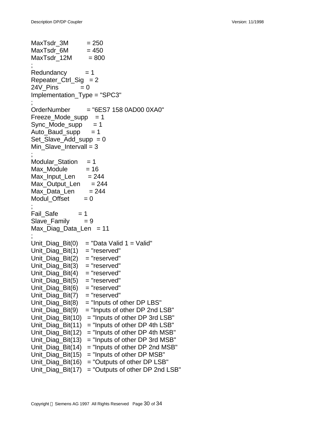```
MaxTsdr 3M = 250MaxTsdr 6M = 450
MaxTsdr 12M = 800
;
Redundancy = 1Repeater Ctrl Sig = 224V Pins = 0Implementation_Type = "SPC3"
;
OrderNumber = "6ES7 158 0AD00 0XA0"
Freeze Mode supp = 1Sync Mode supp = 1Auto Baud supp = 1Set Slave Add supp = 0Min_Slave_Intervall = 3;
Modular Station = 1Max Module = 16Max Input Len = 244Max Output Len = 244Max Data Len = 244Modul Offset = 0;
Fail Safe = 1Slave_Family = 9Max Diag Data Len = 11;
Unit_Diag_Bit(0) = "Data Valid 1 = Valid"
Unit\_Diag\_Bit(1) = "reserved"Unit_Diag_Bit(2) = "reserved"
Unit Diag Bit(3) = "reserved"Unit_Diag_Bit(4) = "reserved"
Unit Diag Bit(5) = "reserved"Unit Diag Bit(6) = "reserved"Unit_Diag_Bit(7) = "reserved"
Unit Diag Bit(8) = "Inputs of other DP LBS"
Unit_Diag_Bit(9) = "Inputs of other DP 2nd LSB"
Unit_Diag_Bit(10) = "Inputs of other DP 3rd LSB"
Unit_Diag_Bit(11) = "Inputs of other DP 4th LSB"
Unit_Diag_Bit(12) = "Inputs of other DP 4th MSB"
Unit_Diag_Bit(13) = "Inputs of other DP 3rd MSB"
Unit Diag Bit(14) = "Inputs of other DP 2nd MSB"
Unit Diag Bit(15) = "Inputs of other DP MSB"Unit_Diag_Bit(16) = "Outputs of other DP LSB"Unit_Diag_Bit(17) = "Outputs of other DP 2nd LSB"
```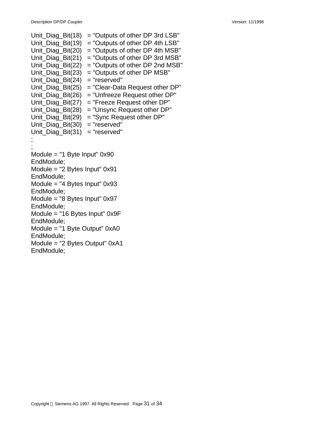Unit\_Diag\_Bit(18) = "Outputs of other DP 3rd  $LSB$ " Unit\_Diag\_Bit(19) = "Outputs of other DP 4th  $LSB$ " Unit\_Diag\_Bit(20) = "Outputs of other DP 4th MSB" Unit Diag  $Bit(21) = "Outputs of other DP 3rd MSB"$ Unit\_Diag\_Bit(22) = "Outputs of other DP 2nd MSB" Unit\_Diag\_Bit(23) = "Outputs of other DP MSB" Unit Diag  $Bit(24) = "reserved"$ Unit\_Diag\_Bit(25) = "Clear-Data Request other DP" Unit Diag  $Bit(26) = "Unfreeze Request other DP"$ Unit\_Diag\_Bit(27) = "Freeze Request other DP" Unit\_Diag\_Bit(28) = "Unsync Request other  $DP$ " Unit Diag  $Bit(29) = "Sync Request other DP"$ Unit\_Diag\_Bit(30) = "reserved" Unit Diag  $Bit(31) = "reserved"$ ; ; Module = "1 Byte Input" 0x90 EndModule; Module = "2 Bytes Input" 0x91 EndModule; Module = "4 Bytes Input" 0x93 EndModule; Module = "8 Bytes Input" 0x97 EndModule; Module = "16 Bytes Input" 0x9F EndModule; Module = "1 Byte Output" 0xA0 EndModule; Module = "2 Bytes Output" 0xA1 EndModule;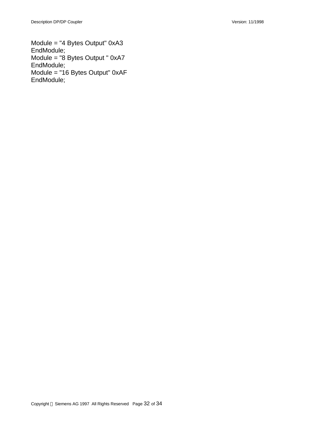Module = "4 Bytes Output" 0xA3 EndModule; Module = "8 Bytes Output " 0xA7 EndModule; Module = "16 Bytes Output" 0xAF EndModule;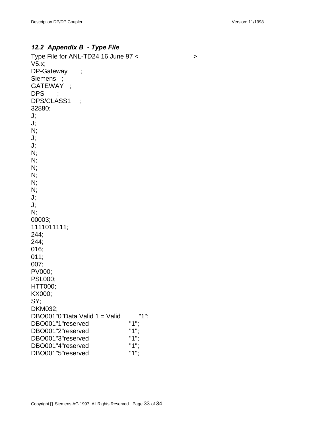## *12.2 Appendix B - Type File*

Type File for ANL-TD24 16 June  $97 <$ V5.x; DP-Gateway ; Siemens ; GATEWAY ; DPS DPS/CLASS1 ; 32880; J; J; N; J; J; N; N; N; N; N; N; J; J; N; 00003; 1111011111; 244; 244; 016; 011; 007; PV000; PSL000; HTT000; KX000; SY; DKM032; DBO001"0"Data Valid  $1 =$  Valid "1";<br>DBO001"1"reserved "1": DBO001"1"reserved "1";<br>DBO001"2"reserved "1"; DBO001"2"reserved "1"; DBO001"3"reserved DBO001"4"reserved "1"; DBO001"5"reserved "1";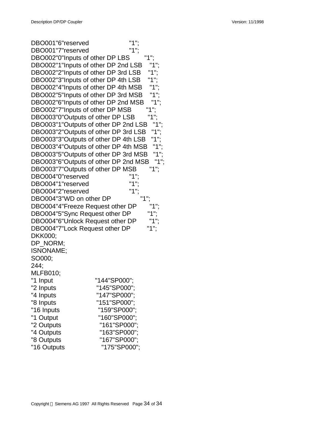| DBO001"6"reserved                    | "1":         |
|--------------------------------------|--------------|
| DBO001"7"reserved                    |              |
| DBO002"0"Inputs of other DP LBS      |              |
| DBO002"1"Inputs of other DP 2nd LSB  |              |
| DBO002"2"Inputs of other DP 3rd LSB  | "1":         |
| DBO002"3"Inputs of other DP 4th LSB  | "1           |
| DBO002"4"Inputs of other DP 4th MSB  | "1           |
| DBO002"5"Inputs of other DP 3rd MSB  |              |
| DBO002"6"Inputs of other DP 2nd MSB  |              |
| DBO002"7"Inputs of other DP MSB      |              |
| DBO003"0"Outputs of other DP LSB     | "1"          |
| DBO003"1"Outputs of other DP 2nd LSB |              |
| DBO003"2"Outputs of other DP 3rd LSB |              |
| DBO003"3"Outputs of other DP 4th LSB |              |
| DBO003"4"Outputs of other DP 4th MSB | "1";         |
| DBO003"5"Outputs of other DP 3rd MSB | "1";         |
| DBO003"6"Outputs of other DP 2nd MSB | "1";         |
| DBO003"7"Outputs of other DP MSB     | "1":         |
| DBO004"0"reserved                    |              |
| DBO004"1"reserved                    |              |
| DBO004"2"reserved                    | "1"          |
| DBO004"3"WD on other DP              |              |
| DBO004"4"Freeze Request other DP     |              |
| DBO004"5"Sync Request other DP       |              |
| DBO004"6"Unlock Request other DP     |              |
| DBO004"7"Lock Request other DP       | 1"           |
| DKK000;                              |              |
| DP NORM;                             |              |
| ISNONAME;                            |              |
| SO000;                               |              |
| 244;                                 |              |
| <b>MLFB010;</b>                      |              |
| "1 Input                             | "144"SP000"; |
| "2 Inputs                            | "145"SP000"; |
| "4 Inputs                            | "147"SP000"; |
| "8 Inputs                            | "151"SP000"; |
| "16 Inputs                           | "159"SP000"; |
| "1 Output                            | "160"SP000"; |
| "2 Outputs                           | "161"SP000"; |
| "4 Outputs                           | "163"SP000"; |
| "8 Outputs                           | "167"SP000"; |
| "16 Outputs                          | "175"SP000"; |